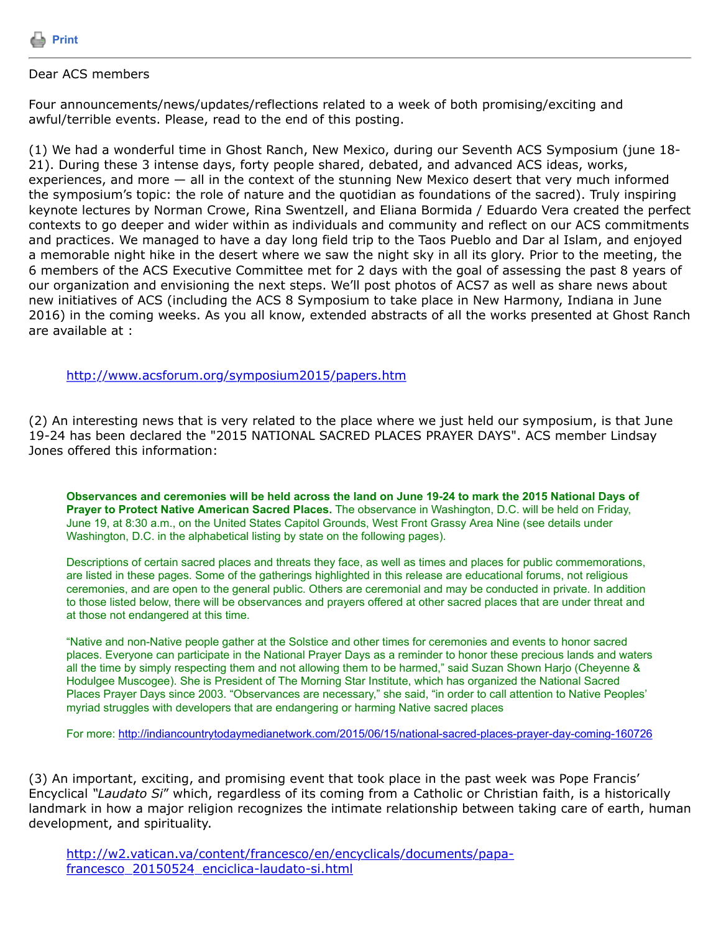

## Dear ACS members

Four announcements/news/updates/reflections related to a week of both promising/exciting and awful/terrible events. Please, read to the end of this posting.

(1) We had a wonderful time in Ghost Ranch, New Mexico, during our Seventh ACS Symposium (june 18- 21). During these 3 intense days, forty people shared, debated, and advanced ACS ideas, works, experiences, and more — all in the context of the stunning New Mexico desert that very much informed the symposium's topic: the role of nature and the quotidian as foundations of the sacred). Truly inspiring keynote lectures by Norman Crowe, Rina Swentzell, and Eliana Bormida / Eduardo Vera created the perfect contexts to go deeper and wider within as individuals and community and reflect on our ACS commitments and practices. We managed to have a day long field trip to the Taos Pueblo and Dar al Islam, and enjoyed a memorable night hike in the desert where we saw the night sky in all its glory. Prior to the meeting, the 6 members of the ACS Executive Committee met for 2 days with the goal of assessing the past 8 years of our organization and envisioning the next steps. We'll post photos of ACS7 as well as share news about new initiatives of ACS (including the ACS 8 Symposium to take place in New Harmony, Indiana in June 2016) in the coming weeks. As you all know, extended abstracts of all the works presented at Ghost Ranch are available at :

<http://www.acsforum.org/symposium2015/papers.htm>

(2) An interesting news that is very related to the place where we just held our symposium, is that June 19-24 has been declared the "2015 NATIONAL SACRED PLACES PRAYER DAYS". ACS member Lindsay Jones offered this information:

**Observances and ceremonies will be held across the land on June 19-24 to mark the 2015 National Days of Prayer to Protect Native American Sacred Places.** The observance in Washington, D.C. will be held on Friday, June 19, at 8:30 a.m., on the United States Capitol Grounds, West Front Grassy Area Nine (see details under Washington, D.C. in the alphabetical listing by state on the following pages).

Descriptions of certain sacred places and threats they face, as well as times and places for public commemorations, are listed in these pages. Some of the gatherings highlighted in this release are educational forums, not religious ceremonies, and are open to the general public. Others are ceremonial and may be conducted in private. In addition to those listed below, there will be observances and prayers offered at other sacred places that are under threat and at those not endangered at this time.

"Native and non-Native people gather at the Solstice and other times for ceremonies and events to honor sacred places. Everyone can participate in the National Prayer Days as a reminder to honor these precious lands and waters all the time by simply respecting them and not allowing them to be harmed," said Suzan Shown Harjo (Cheyenne & Hodulgee Muscogee). She is President of The Morning Star Institute, which has organized the National Sacred Places Prayer Days since 2003. "Observances are necessary," she said, "in order to call attention to Native Peoples' myriad struggles with developers that are endangering or harming Native sacred places

For more: <http://indiancountrytodaymedianetwork.com/2015/06/15/national-sacred-places-prayer-day-coming-160726>

(3) An important, exciting, and promising event that took place in the past week was Pope Francis' Encyclical *"Laudato Si*" which, regardless of its coming from a Catholic or Christian faith, is a historically landmark in how a major religion recognizes the intimate relationship between taking care of earth, human development, and spirituality.

[http://w2.vatican.va/content/francesco/en/encyclicals/documents/papa](http://w2.vatican.va/content/francesco/en/encyclicals/documents/papa-francesco_20150524_enciclica-laudato-si.html)francesco 20150524 enciclica-laudato-si.html